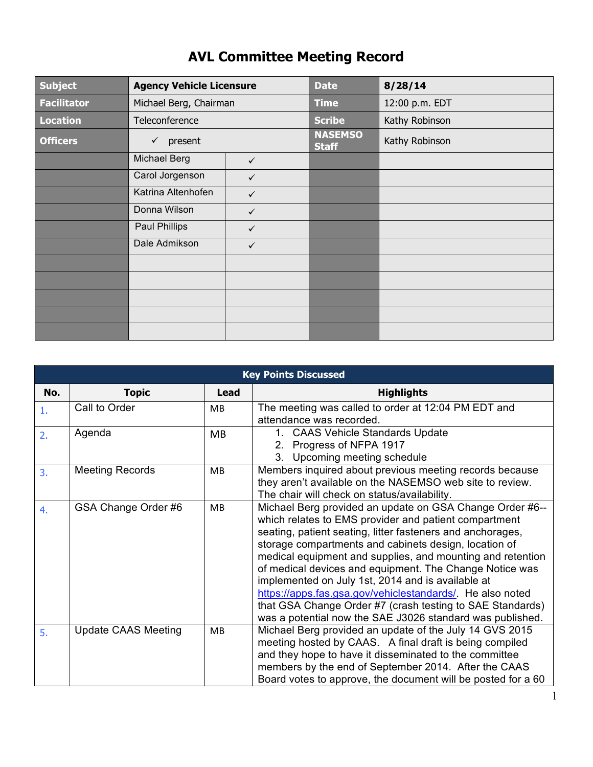| <b>Subject</b>     | <b>Agency Vehicle Licensure</b> |              | <b>Date</b>                    | 8/28/14        |
|--------------------|---------------------------------|--------------|--------------------------------|----------------|
| <b>Facilitator</b> | Michael Berg, Chairman          |              | <b>Time</b>                    | 12:00 p.m. EDT |
| <b>Location</b>    | Teleconference                  |              | <b>Scribe</b>                  | Kathy Robinson |
| <b>Officers</b>    | present<br>✓                    |              | <b>NASEMSO</b><br><b>Staff</b> | Kathy Robinson |
|                    | <b>Michael Berg</b>             | $\checkmark$ |                                |                |
|                    | Carol Jorgenson                 | ✓            |                                |                |
|                    | Katrina Altenhofen              | $\checkmark$ |                                |                |
|                    | Donna Wilson                    | $\checkmark$ |                                |                |
|                    | Paul Phillips                   | $\checkmark$ |                                |                |
|                    | Dale Admikson                   | $\checkmark$ |                                |                |
|                    |                                 |              |                                |                |
|                    |                                 |              |                                |                |
|                    |                                 |              |                                |                |
|                    |                                 |              |                                |                |
|                    |                                 |              |                                |                |

## **AVL Committee Meeting Record**

| <b>Key Points Discussed</b> |                            |             |                                                                                                                                                                                                                                                                                                                                                                                                                                                                                                                                                                                                               |  |  |
|-----------------------------|----------------------------|-------------|---------------------------------------------------------------------------------------------------------------------------------------------------------------------------------------------------------------------------------------------------------------------------------------------------------------------------------------------------------------------------------------------------------------------------------------------------------------------------------------------------------------------------------------------------------------------------------------------------------------|--|--|
| No.                         | <b>Topic</b>               | <b>Lead</b> | <b>Highlights</b>                                                                                                                                                                                                                                                                                                                                                                                                                                                                                                                                                                                             |  |  |
| 1.                          | Call to Order              | МB          | The meeting was called to order at 12:04 PM EDT and<br>attendance was recorded.                                                                                                                                                                                                                                                                                                                                                                                                                                                                                                                               |  |  |
| 2.                          | Agenda                     | MB          | 1. CAAS Vehicle Standards Update<br>2. Progress of NFPA 1917<br>3. Upcoming meeting schedule                                                                                                                                                                                                                                                                                                                                                                                                                                                                                                                  |  |  |
| 3.                          | <b>Meeting Records</b>     | <b>MB</b>   | Members inquired about previous meeting records because<br>they aren't available on the NASEMSO web site to review.<br>The chair will check on status/availability.                                                                                                                                                                                                                                                                                                                                                                                                                                           |  |  |
| 4.                          | GSA Change Order #6        | MB          | Michael Berg provided an update on GSA Change Order #6--<br>which relates to EMS provider and patient compartment<br>seating, patient seating, litter fasteners and anchorages,<br>storage compartments and cabinets design, location of<br>medical equipment and supplies, and mounting and retention<br>of medical devices and equipment. The Change Notice was<br>implemented on July 1st, 2014 and is available at<br>https://apps.fas.gsa.gov/vehiclestandards/. He also noted<br>that GSA Change Order #7 (crash testing to SAE Standards)<br>was a potential now the SAE J3026 standard was published. |  |  |
| 5.                          | <b>Update CAAS Meeting</b> | MB          | Michael Berg provided an update of the July 14 GVS 2015<br>meeting hosted by CAAS. A final draft is being compiled<br>and they hope to have it disseminated to the committee<br>members by the end of September 2014. After the CAAS<br>Board votes to approve, the document will be posted for a 60                                                                                                                                                                                                                                                                                                          |  |  |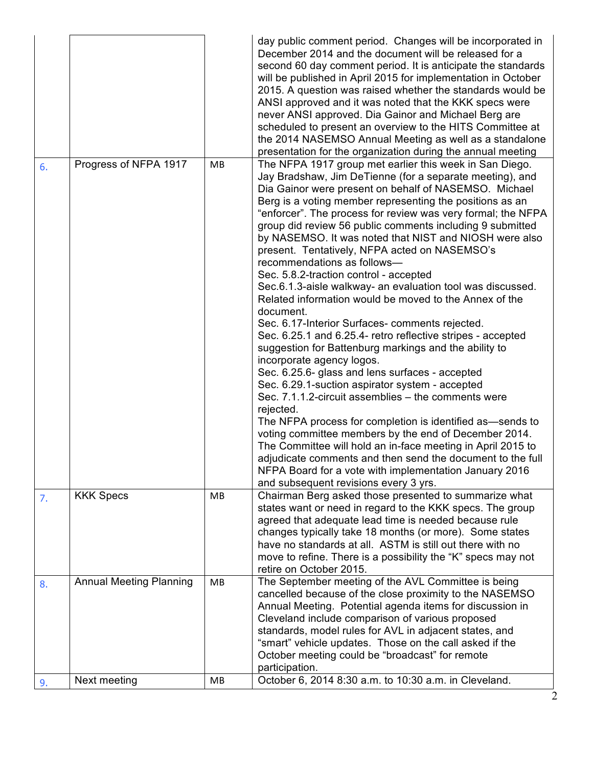|    |                                |    | day public comment period. Changes will be incorporated in<br>December 2014 and the document will be released for a<br>second 60 day comment period. It is anticipate the standards<br>will be published in April 2015 for implementation in October<br>2015. A question was raised whether the standards would be<br>ANSI approved and it was noted that the KKK specs were<br>never ANSI approved. Dia Gainor and Michael Berg are<br>scheduled to present an overview to the HITS Committee at<br>the 2014 NASEMSO Annual Meeting as well as a standalone<br>presentation for the organization during the annual meeting                                                                                                                                                                                                                                                                                                                                                                                                                                                                                                                                                                                                                                                                                                                                                                                                           |
|----|--------------------------------|----|---------------------------------------------------------------------------------------------------------------------------------------------------------------------------------------------------------------------------------------------------------------------------------------------------------------------------------------------------------------------------------------------------------------------------------------------------------------------------------------------------------------------------------------------------------------------------------------------------------------------------------------------------------------------------------------------------------------------------------------------------------------------------------------------------------------------------------------------------------------------------------------------------------------------------------------------------------------------------------------------------------------------------------------------------------------------------------------------------------------------------------------------------------------------------------------------------------------------------------------------------------------------------------------------------------------------------------------------------------------------------------------------------------------------------------------|
| 6. | Progress of NFPA 1917          | MB | The NFPA 1917 group met earlier this week in San Diego.<br>Jay Bradshaw, Jim DeTienne (for a separate meeting), and<br>Dia Gainor were present on behalf of NASEMSO. Michael<br>Berg is a voting member representing the positions as an<br>"enforcer". The process for review was very formal; the NFPA<br>group did review 56 public comments including 9 submitted<br>by NASEMSO. It was noted that NIST and NIOSH were also<br>present. Tentatively, NFPA acted on NASEMSO's<br>recommendations as follows-<br>Sec. 5.8.2-traction control - accepted<br>Sec.6.1.3-aisle walkway- an evaluation tool was discussed.<br>Related information would be moved to the Annex of the<br>document.<br>Sec. 6.17-Interior Surfaces-comments rejected.<br>Sec. 6.25.1 and 6.25.4- retro reflective stripes - accepted<br>suggestion for Battenburg markings and the ability to<br>incorporate agency logos.<br>Sec. 6.25.6- glass and lens surfaces - accepted<br>Sec. 6.29.1-suction aspirator system - accepted<br>Sec. 7.1.1.2-circuit assemblies - the comments were<br>rejected.<br>The NFPA process for completion is identified as—sends to<br>voting committee members by the end of December 2014.<br>The Committee will hold an in-face meeting in April 2015 to<br>adjudicate comments and then send the document to the full<br>NFPA Board for a vote with implementation January 2016<br>and subsequent revisions every 3 yrs. |
| 7. | <b>KKK Specs</b>               | МB | Chairman Berg asked those presented to summarize what<br>states want or need in regard to the KKK specs. The group<br>agreed that adequate lead time is needed because rule<br>changes typically take 18 months (or more). Some states<br>have no standards at all. ASTM is still out there with no<br>move to refine. There is a possibility the "K" specs may not<br>retire on October 2015.                                                                                                                                                                                                                                                                                                                                                                                                                                                                                                                                                                                                                                                                                                                                                                                                                                                                                                                                                                                                                                        |
| 8. | <b>Annual Meeting Planning</b> | MB | The September meeting of the AVL Committee is being<br>cancelled because of the close proximity to the NASEMSO<br>Annual Meeting. Potential agenda items for discussion in<br>Cleveland include comparison of various proposed<br>standards, model rules for AVL in adjacent states, and<br>"smart" vehicle updates. Those on the call asked if the<br>October meeting could be "broadcast" for remote<br>participation.                                                                                                                                                                                                                                                                                                                                                                                                                                                                                                                                                                                                                                                                                                                                                                                                                                                                                                                                                                                                              |
| 9. | Next meeting                   | МB | October 6, 2014 8:30 a.m. to 10:30 a.m. in Cleveland.                                                                                                                                                                                                                                                                                                                                                                                                                                                                                                                                                                                                                                                                                                                                                                                                                                                                                                                                                                                                                                                                                                                                                                                                                                                                                                                                                                                 |